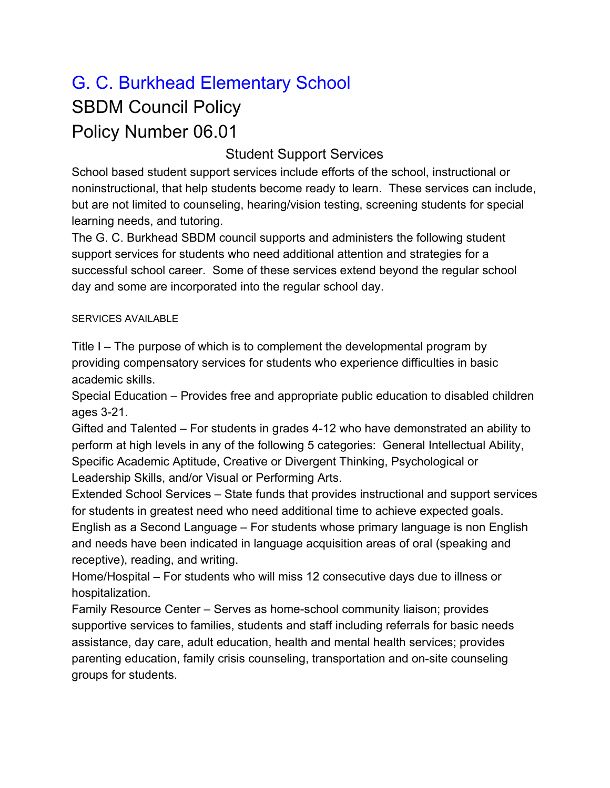## G. C. Burkhead Elementary School SBDM Council Policy Policy Number 06.01

## Student Support Services

School based student support services include efforts of the school, instructional or noninstructional, that help students become ready to learn. These services can include, but are not limited to counseling, hearing/vision testing, screening students for special learning needs, and tutoring.

The G. C. Burkhead SBDM council supports and administers the following student support services for students who need additional attention and strategies for a successful school career. Some of these services extend beyond the regular school day and some are incorporated into the regular school day.

## SERVICES AVAILABLE

Title I – The purpose of which is to complement the developmental program by providing compensatory services for students who experience difficulties in basic academic skills.

Special Education – Provides free and appropriate public education to disabled children ages 3-21.

Gifted and Talented – For students in grades 4-12 who have demonstrated an ability to perform at high levels in any of the following 5 categories: General Intellectual Ability, Specific Academic Aptitude, Creative or Divergent Thinking, Psychological or Leadership Skills, and/or Visual or Performing Arts.

Extended School Services – State funds that provides instructional and support services for students in greatest need who need additional time to achieve expected goals. English as a Second Language – For students whose primary language is non English and needs have been indicated in language acquisition areas of oral (speaking and receptive), reading, and writing.

Home/Hospital – For students who will miss 12 consecutive days due to illness or hospitalization.

Family Resource Center – Serves as home-school community liaison; provides supportive services to families, students and staff including referrals for basic needs assistance, day care, adult education, health and mental health services; provides parenting education, family crisis counseling, transportation and on-site counseling groups for students.